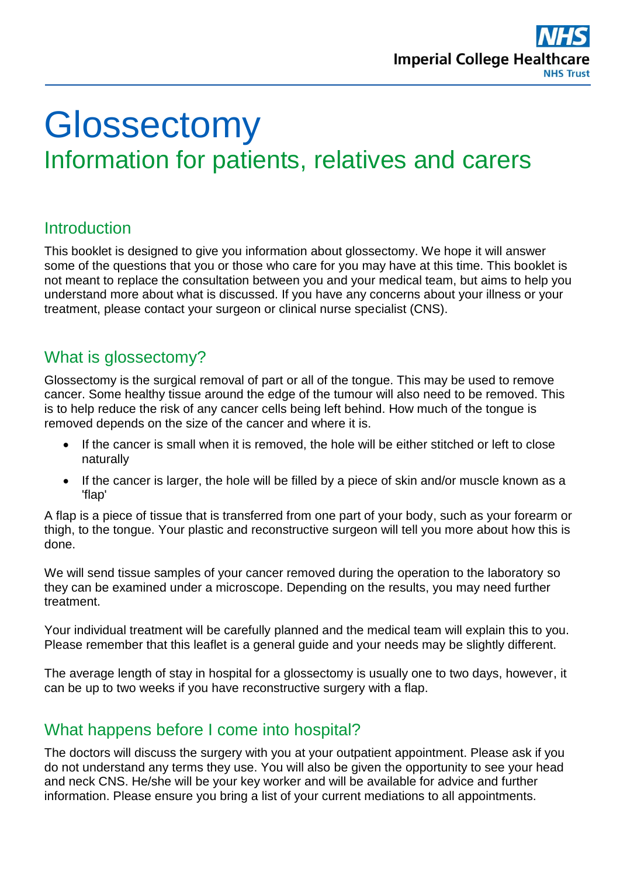

# **Glossectomy** Information for patients, relatives and carers

# **Introduction**

This booklet is designed to give you information about glossectomy. We hope it will answer some of the questions that you or those who care for you may have at this time. This booklet is not meant to replace the consultation between you and your medical team, but aims to help you understand more about what is discussed. If you have any concerns about your illness or your treatment, please contact your surgeon or clinical nurse specialist (CNS).

# What is glossectomy?

Glossectomy is the surgical removal of part or all of the tongue. This may be used to remove cancer. Some healthy tissue around the edge of the tumour will also need to be removed. This is to help reduce the risk of any cancer cells being left behind. How much of the tongue is removed depends on the size of the cancer and where it is.

- If the cancer is small when it is removed, the hole will be either stitched or left to close naturally
- If the cancer is larger, the hole will be filled by a piece of skin and/or muscle known as a 'flap'

A flap is a piece of tissue that is transferred from one part of your body, such as your forearm or thigh, to the tongue. Your plastic and reconstructive surgeon will tell you more about how this is done.

We will send tissue samples of your cancer removed during the operation to the laboratory so they can be examined under a microscope. Depending on the results, you may need further treatment.

Your individual treatment will be carefully planned and the medical team will explain this to you. Please remember that this leaflet is a general guide and your needs may be slightly different.

The average length of stay in hospital for a glossectomy is usually one to two days, however, it can be up to two weeks if you have reconstructive surgery with a flap.

# What happens before I come into hospital?

The doctors will discuss the surgery with you at your outpatient appointment. Please ask if you do not understand any terms they use. You will also be given the opportunity to see your head and neck CNS. He/she will be your key worker and will be available for advice and further information. Please ensure you bring a list of your current mediations to all appointments.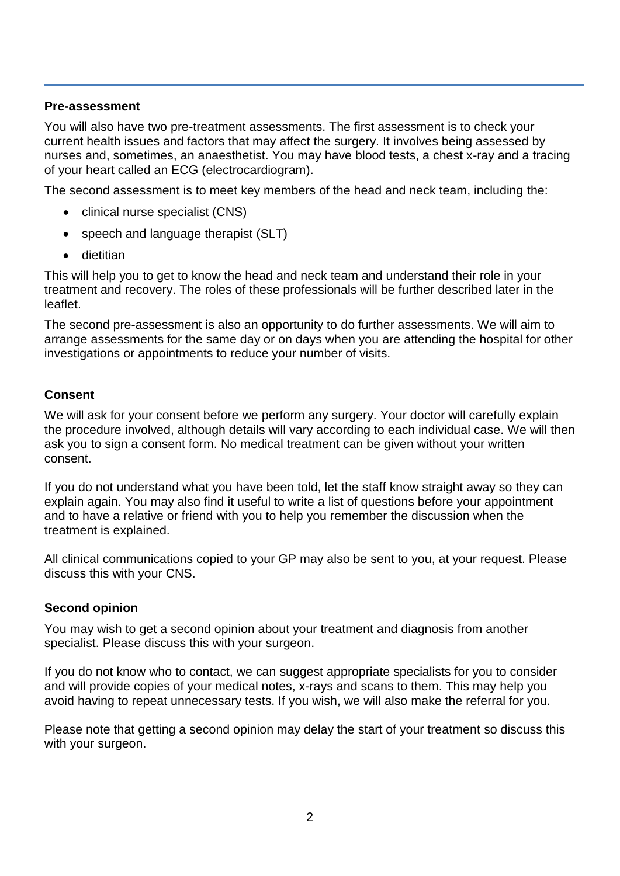#### **Pre-assessment**

You will also have two pre-treatment assessments. The first assessment is to check your current health issues and factors that may affect the surgery. It involves being assessed by nurses and, sometimes, an anaesthetist. You may have blood tests, a chest x-ray and a tracing of your heart called an ECG (electrocardiogram).

The second assessment is to meet key members of the head and neck team, including the:

- clinical nurse specialist (CNS)
- speech and language therapist (SLT)
- **•** dietitian

This will help you to get to know the head and neck team and understand their role in your treatment and recovery. The roles of these professionals will be further described later in the leaflet.

The second pre-assessment is also an opportunity to do further assessments. We will aim to arrange assessments for the same day or on days when you are attending the hospital for other investigations or appointments to reduce your number of visits.

#### **Consent**

We will ask for your consent before we perform any surgery. Your doctor will carefully explain the procedure involved, although details will vary according to each individual case. We will then ask you to sign a consent form. No medical treatment can be given without your written consent.

If you do not understand what you have been told, let the staff know straight away so they can explain again. You may also find it useful to write a list of questions before your appointment and to have a relative or friend with you to help you remember the discussion when the treatment is explained.

All clinical communications copied to your GP may also be sent to you, at your request. Please discuss this with your CNS.

#### **Second opinion**

You may wish to get a second opinion about your treatment and diagnosis from another specialist. Please discuss this with your surgeon.

If you do not know who to contact, we can suggest appropriate specialists for you to consider and will provide copies of your medical notes, x-rays and scans to them. This may help you avoid having to repeat unnecessary tests. If you wish, we will also make the referral for you.

Please note that getting a second opinion may delay the start of your treatment so discuss this with your surgeon.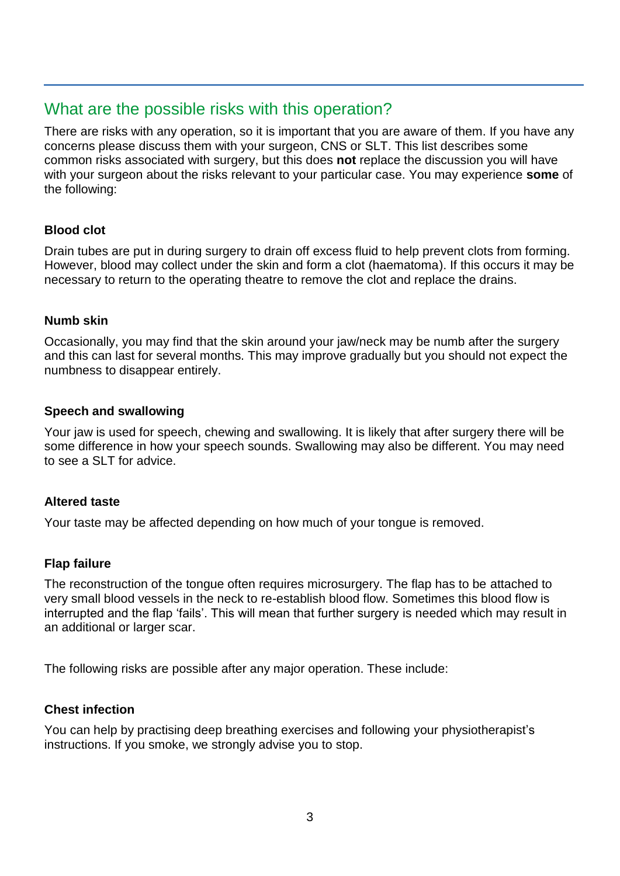# What are the possible risks with this operation?

There are risks with any operation, so it is important that you are aware of them. If you have any concerns please discuss them with your surgeon, CNS or SLT. This list describes some common risks associated with surgery, but this does **not** replace the discussion you will have with your surgeon about the risks relevant to your particular case. You may experience **some** of the following:

#### **Blood clot**

Drain tubes are put in during surgery to drain off excess fluid to help prevent clots from forming. However, blood may collect under the skin and form a clot (haematoma). If this occurs it may be necessary to return to the operating theatre to remove the clot and replace the drains.

#### **Numb skin**

Occasionally, you may find that the skin around your jaw/neck may be numb after the surgery and this can last for several months. This may improve gradually but you should not expect the numbness to disappear entirely.

#### **Speech and swallowing**

Your jaw is used for speech, chewing and swallowing. It is likely that after surgery there will be some difference in how your speech sounds. Swallowing may also be different. You may need to see a SLT for advice.

#### **Altered taste**

Your taste may be affected depending on how much of your tongue is removed.

#### **Flap failure**

The reconstruction of the tongue often requires microsurgery. The flap has to be attached to very small blood vessels in the neck to re-establish blood flow. Sometimes this blood flow is interrupted and the flap 'fails'. This will mean that further surgery is needed which may result in an additional or larger scar.

The following risks are possible after any major operation. These include:

#### **Chest infection**

You can help by practising deep breathing exercises and following your physiotherapist's instructions. If you smoke, we strongly advise you to stop.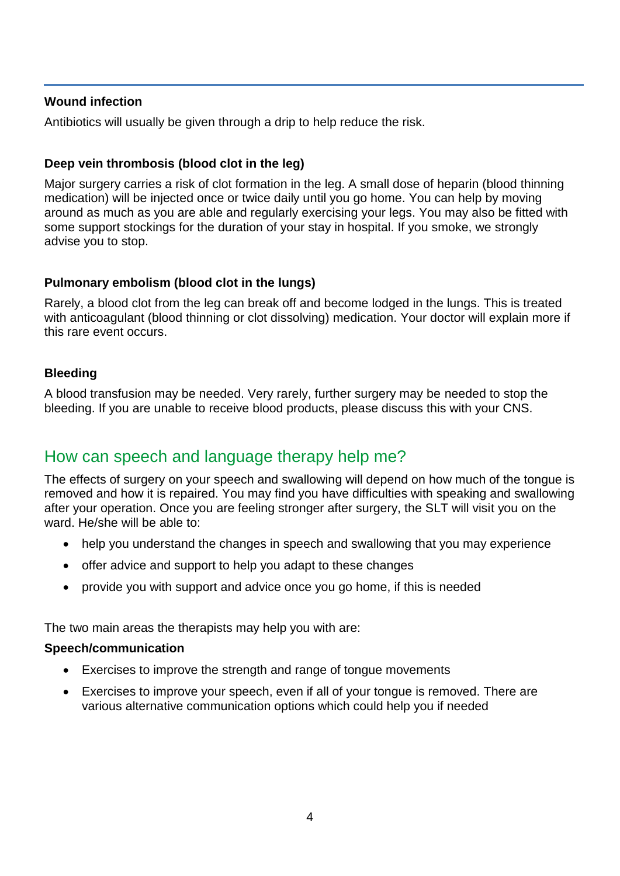#### **Wound infection**

Antibiotics will usually be given through a drip to help reduce the risk.

#### **Deep vein thrombosis (blood clot in the leg)**

Major surgery carries a risk of clot formation in the leg. A small dose of heparin (blood thinning medication) will be injected once or twice daily until you go home. You can help by moving around as much as you are able and regularly exercising your legs. You may also be fitted with some support stockings for the duration of your stay in hospital. If you smoke, we strongly advise you to stop.

#### **Pulmonary embolism (blood clot in the lungs)**

Rarely, a blood clot from the leg can break off and become lodged in the lungs. This is treated with anticoagulant (blood thinning or clot dissolving) medication. Your doctor will explain more if this rare event occurs.

#### **Bleeding**

A blood transfusion may be needed. Very rarely, further surgery may be needed to stop the bleeding. If you are unable to receive blood products, please discuss this with your CNS.

# How can speech and language therapy help me?

The effects of surgery on your speech and swallowing will depend on how much of the tongue is removed and how it is repaired. You may find you have difficulties with speaking and swallowing after your operation. Once you are feeling stronger after surgery, the SLT will visit you on the ward. He/she will be able to:

- help you understand the changes in speech and swallowing that you may experience
- offer advice and support to help you adapt to these changes
- provide you with support and advice once you go home, if this is needed

The two main areas the therapists may help you with are:

#### **Speech/communication**

- Exercises to improve the strength and range of tongue movements
- Exercises to improve your speech, even if all of your tongue is removed. There are various alternative communication options which could help you if needed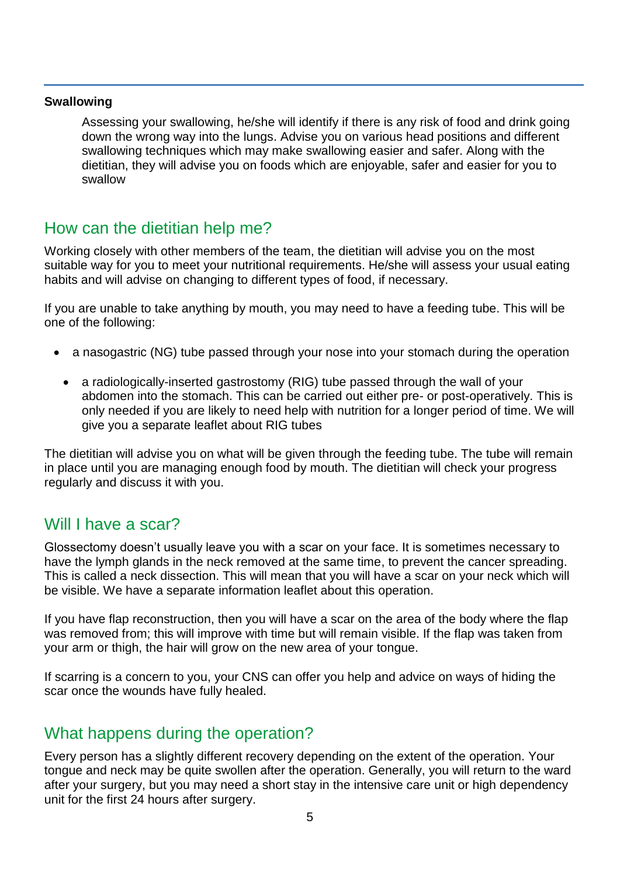#### **Swallowing**

Assessing your swallowing, he/she will identify if there is any risk of food and drink going down the wrong way into the lungs. Advise you on various head positions and different swallowing techniques which may make swallowing easier and safer. Along with the dietitian, they will advise you on foods which are enjoyable, safer and easier for you to swallow

### How can the dietitian help me?

Working closely with other members of the team, the dietitian will advise you on the most suitable way for you to meet your nutritional requirements. He/she will assess your usual eating habits and will advise on changing to different types of food, if necessary.

If you are unable to take anything by mouth, you may need to have a feeding tube. This will be one of the following:

- a nasogastric (NG) tube passed through your nose into your stomach during the operation
- a radiologically-inserted gastrostomy (RIG) tube passed through the wall of your abdomen into the stomach. This can be carried out either pre- or post-operatively. This is only needed if you are likely to need help with nutrition for a longer period of time. We will give you a separate leaflet about RIG tubes

The dietitian will advise you on what will be given through the feeding tube. The tube will remain in place until you are managing enough food by mouth. The dietitian will check your progress regularly and discuss it with you.

### Will I have a scar?

Glossectomy doesn't usually leave you with a scar on your face. It is sometimes necessary to have the lymph glands in the neck removed at the same time, to prevent the cancer spreading. This is called a neck dissection. This will mean that you will have a scar on your neck which will be visible. We have a separate information leaflet about this operation.

If you have flap reconstruction, then you will have a scar on the area of the body where the flap was removed from; this will improve with time but will remain visible. If the flap was taken from your arm or thigh, the hair will grow on the new area of your tongue.

If scarring is a concern to you, your CNS can offer you help and advice on ways of hiding the scar once the wounds have fully healed.

### What happens during the operation?

Every person has a slightly different recovery depending on the extent of the operation. Your tongue and neck may be quite swollen after the operation. Generally, you will return to the ward after your surgery, but you may need a short stay in the intensive care unit or high dependency unit for the first 24 hours after surgery.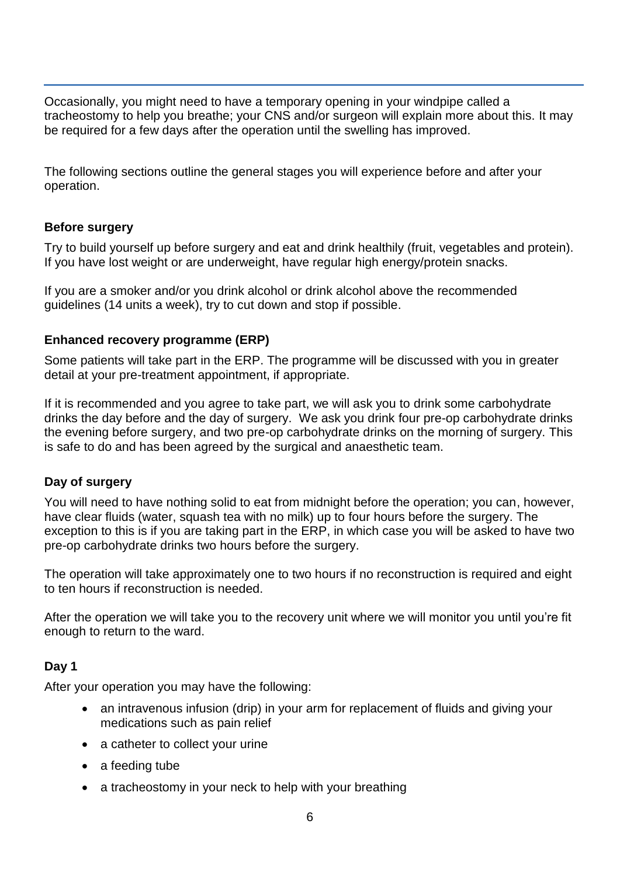Occasionally, you might need to have a temporary opening in your windpipe called a tracheostomy to help you breathe; your CNS and/or surgeon will explain more about this. It may be required for a few days after the operation until the swelling has improved.

The following sections outline the general stages you will experience before and after your operation.

#### **Before surgery**

Try to build yourself up before surgery and eat and drink healthily (fruit, vegetables and protein). If you have lost weight or are underweight, have regular high energy/protein snacks.

If you are a smoker and/or you drink alcohol or drink alcohol above the recommended guidelines (14 units a week), try to cut down and stop if possible.

#### **Enhanced recovery programme (ERP)**

Some patients will take part in the ERP. The programme will be discussed with you in greater detail at your pre-treatment appointment, if appropriate.

If it is recommended and you agree to take part, we will ask you to drink some carbohydrate drinks the day before and the day of surgery. We ask you drink four pre-op carbohydrate drinks the evening before surgery, and two pre-op carbohydrate drinks on the morning of surgery. This is safe to do and has been agreed by the surgical and anaesthetic team.

#### **Day of surgery**

You will need to have nothing solid to eat from midnight before the operation; you can, however, have clear fluids (water, squash tea with no milk) up to four hours before the surgery. The exception to this is if you are taking part in the ERP, in which case you will be asked to have two pre-op carbohydrate drinks two hours before the surgery.

The operation will take approximately one to two hours if no reconstruction is required and eight to ten hours if reconstruction is needed.

After the operation we will take you to the recovery unit where we will monitor you until you're fit enough to return to the ward.

#### **Day 1**

After your operation you may have the following:

- an intravenous infusion (drip) in your arm for replacement of fluids and giving your medications such as pain relief
- a catheter to collect your urine
- a feeding tube
- a tracheostomy in your neck to help with your breathing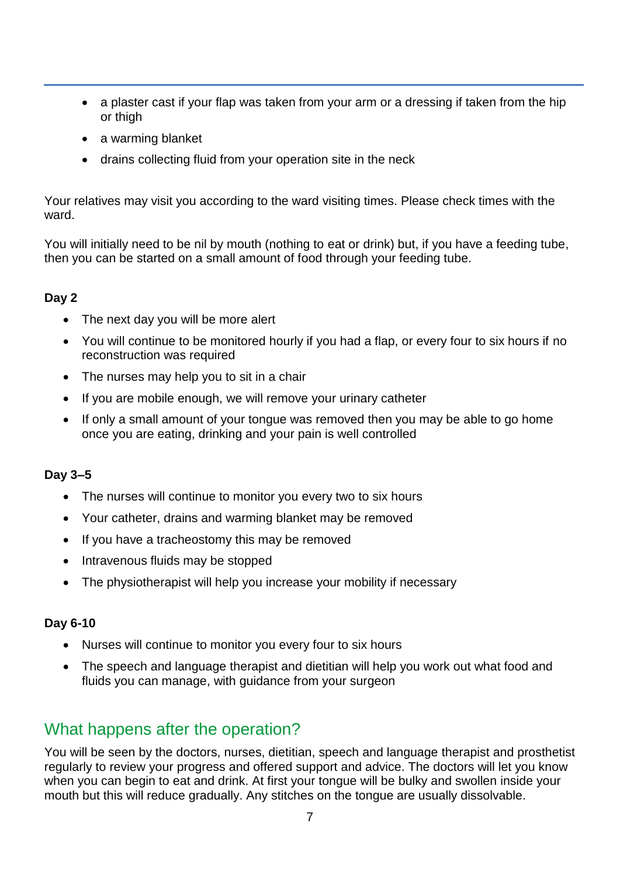- a plaster cast if your flap was taken from your arm or a dressing if taken from the hip or thigh
- a warming blanket
- drains collecting fluid from your operation site in the neck

Your relatives may visit you according to the ward visiting times. Please check times with the ward.

You will initially need to be nil by mouth (nothing to eat or drink) but, if you have a feeding tube, then you can be started on a small amount of food through your feeding tube.

#### **Day 2**

- The next day you will be more alert
- You will continue to be monitored hourly if you had a flap, or every four to six hours if no reconstruction was required
- The nurses may help you to sit in a chair
- If you are mobile enough, we will remove your urinary catheter
- If only a small amount of your tongue was removed then you may be able to go home once you are eating, drinking and your pain is well controlled

#### **Day 3–5**

- The nurses will continue to monitor you every two to six hours
- Your catheter, drains and warming blanket may be removed
- If you have a tracheostomy this may be removed
- Intravenous fluids may be stopped
- The physiotherapist will help you increase your mobility if necessary

#### **Day 6-10**

- Nurses will continue to monitor you every four to six hours
- The speech and language therapist and dietitian will help you work out what food and fluids you can manage, with guidance from your surgeon

# What happens after the operation?

You will be seen by the doctors, nurses, dietitian, speech and language therapist and prosthetist regularly to review your progress and offered support and advice. The doctors will let you know when you can begin to eat and drink. At first your tongue will be bulky and swollen inside your mouth but this will reduce gradually. Any stitches on the tongue are usually dissolvable.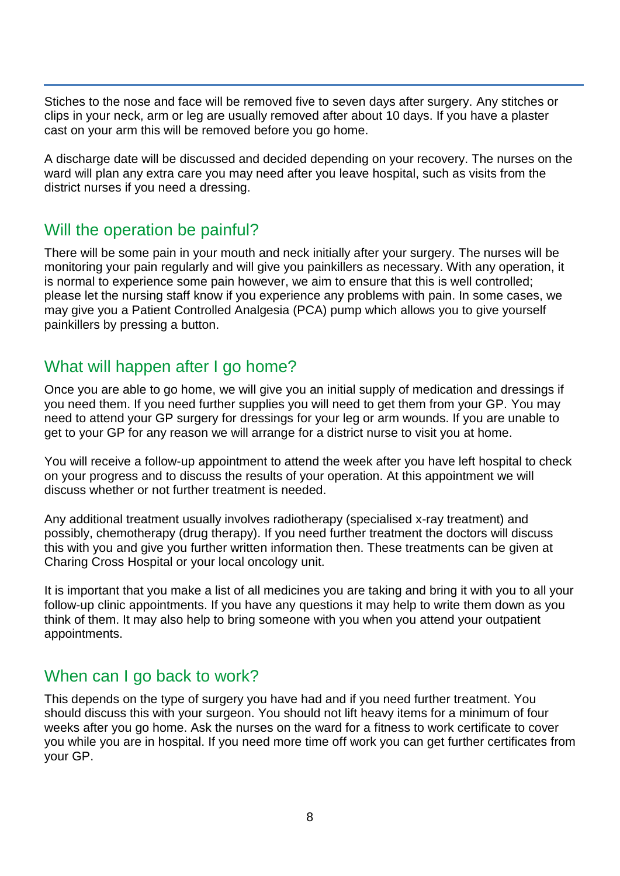Stiches to the nose and face will be removed five to seven days after surgery. Any stitches or clips in your neck, arm or leg are usually removed after about 10 days. If you have a plaster cast on your arm this will be removed before you go home.

A discharge date will be discussed and decided depending on your recovery. The nurses on the ward will plan any extra care you may need after you leave hospital, such as visits from the district nurses if you need a dressing.

### Will the operation be painful?

There will be some pain in your mouth and neck initially after your surgery. The nurses will be monitoring your pain regularly and will give you painkillers as necessary. With any operation, it is normal to experience some pain however, we aim to ensure that this is well controlled; please let the nursing staff know if you experience any problems with pain. In some cases, we may give you a Patient Controlled Analgesia (PCA) pump which allows you to give yourself painkillers by pressing a button.

# What will happen after I go home?

Once you are able to go home, we will give you an initial supply of medication and dressings if you need them. If you need further supplies you will need to get them from your GP. You may need to attend your GP surgery for dressings for your leg or arm wounds. If you are unable to get to your GP for any reason we will arrange for a district nurse to visit you at home.

You will receive a follow-up appointment to attend the week after you have left hospital to check on your progress and to discuss the results of your operation. At this appointment we will discuss whether or not further treatment is needed.

Any additional treatment usually involves radiotherapy (specialised x-ray treatment) and possibly, chemotherapy (drug therapy). If you need further treatment the doctors will discuss this with you and give you further written information then. These treatments can be given at Charing Cross Hospital or your local oncology unit.

It is important that you make a list of all medicines you are taking and bring it with you to all your follow-up clinic appointments. If you have any questions it may help to write them down as you think of them. It may also help to bring someone with you when you attend your outpatient appointments.

# When can I go back to work?

This depends on the type of surgery you have had and if you need further treatment. You should discuss this with your surgeon. You should not lift heavy items for a minimum of four weeks after you go home. Ask the nurses on the ward for a fitness to work certificate to cover you while you are in hospital. If you need more time off work you can get further certificates from your GP.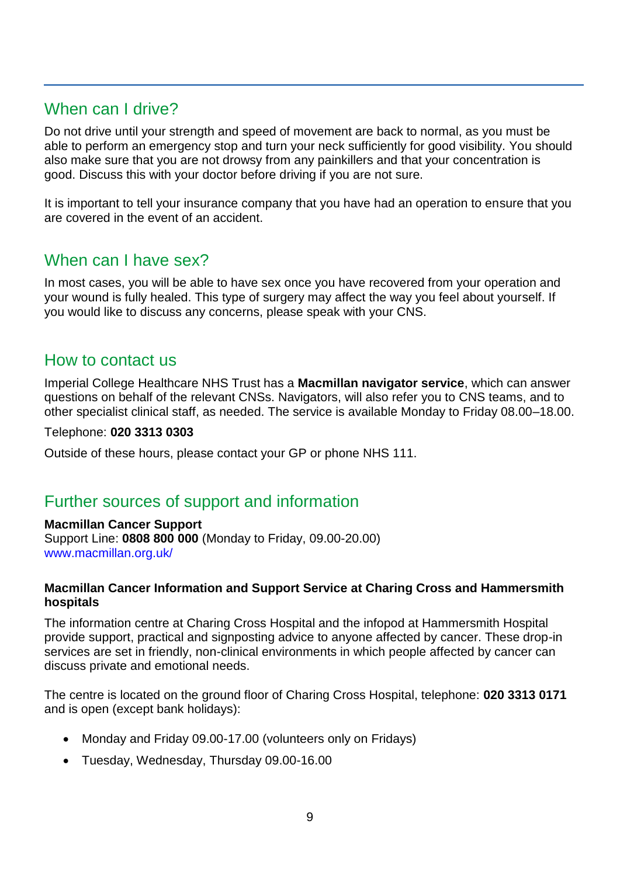# When can I drive?

Do not drive until your strength and speed of movement are back to normal, as you must be able to perform an emergency stop and turn your neck sufficiently for good visibility. You should also make sure that you are not drowsy from any painkillers and that your concentration is good. Discuss this with your doctor before driving if you are not sure.

It is important to tell your insurance company that you have had an operation to ensure that you are covered in the event of an accident.

### When can I have sex?

In most cases, you will be able to have sex once you have recovered from your operation and your wound is fully healed. This type of surgery may affect the way you feel about yourself. If you would like to discuss any concerns, please speak with your CNS.

### How to contact us

Imperial College Healthcare NHS Trust has a **Macmillan navigator service**, which can answer questions on behalf of the relevant CNSs. Navigators, will also refer you to CNS teams, and to other specialist clinical staff, as needed. The service is available Monday to Friday 08.00–18.00.

#### Telephone: **020 3313 0303**

Outside of these hours, please contact your GP or phone NHS 111.

### Further sources of support and information

#### **Macmillan Cancer Support**

Support Line: **0808 800 000** (Monday to Friday, 09.00-20.00) [www.macmillan.org.uk/](http://www.macmillan.org.uk/)

#### **Macmillan Cancer Information and Support Service at Charing Cross and Hammersmith hospitals**

The information centre at Charing Cross Hospital and the infopod at Hammersmith Hospital provide support, practical and signposting advice to anyone affected by cancer. These drop-in services are set in friendly, non-clinical environments in which people affected by cancer can discuss private and emotional needs.

The centre is located on the ground floor of Charing Cross Hospital, telephone: **020 3313 0171** and is open (except bank holidays):

- Monday and Friday 09.00-17.00 (volunteers only on Fridays)
- Tuesday, Wednesday, Thursday 09.00-16.00